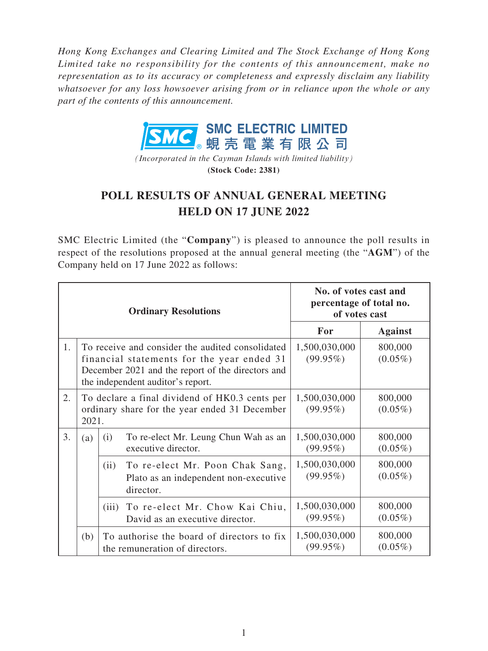*Hong Kong Exchanges and Clearing Limited and The Stock Exchange of Hong Kong Limited take no responsibility for the contents of this announcement, make no representation as to its accuracy or completeness and expressly disclaim any liability whatsoever for any loss howsoever arising from or in reliance upon the whole or any part of the contents of this announcement.*



*(Incorporated in the Cayman Islands with limited liability)* **(Stock Code: 2381)**

## **POLL RESULTS OF ANNUAL GENERAL MEETING HELD ON 17 JUNE 2022**

SMC Electric Limited (the "**Company**") is pleased to announce the poll results in respect of the resolutions proposed at the annual general meeting (the "**AGM**") of the Company held on 17 June 2022 as follows:

|    |                                                                                                          | <b>Ordinary Resolutions</b>                                                                                                                                                              | No. of votes cast and<br>percentage of total no.<br>of votes cast |                       |
|----|----------------------------------------------------------------------------------------------------------|------------------------------------------------------------------------------------------------------------------------------------------------------------------------------------------|-------------------------------------------------------------------|-----------------------|
|    |                                                                                                          |                                                                                                                                                                                          | For                                                               | <b>Against</b>        |
| 1. |                                                                                                          | To receive and consider the audited consolidated<br>financial statements for the year ended 31<br>December 2021 and the report of the directors and<br>the independent auditor's report. | 1,500,030,000<br>$(99.95\%)$                                      | 800,000<br>$(0.05\%)$ |
| 2. | To declare a final dividend of HK0.3 cents per<br>ordinary share for the year ended 31 December<br>2021. |                                                                                                                                                                                          | 1,500,030,000<br>$(99.95\%)$                                      | 800,000<br>$(0.05\%)$ |
| 3. | (a)                                                                                                      | To re-elect Mr. Leung Chun Wah as an<br>(i)<br>executive director.                                                                                                                       | 1,500,030,000<br>$(99.95\%)$                                      | 800,000<br>$(0.05\%)$ |
|    |                                                                                                          | To re-elect Mr. Poon Chak Sang,<br>(ii)<br>Plato as an independent non-executive<br>director.                                                                                            | 1,500,030,000<br>$(99.95\%)$                                      | 800,000<br>$(0.05\%)$ |
|    |                                                                                                          | To re-elect Mr. Chow Kai Chiu,<br>(iii)<br>David as an executive director.                                                                                                               | 1,500,030,000<br>$(99.95\%)$                                      | 800,000<br>$(0.05\%)$ |
|    | (b)                                                                                                      | To authorise the board of directors to fix<br>the remuneration of directors.                                                                                                             | 1,500,030,000<br>$(99.95\%)$                                      | 800,000<br>$(0.05\%)$ |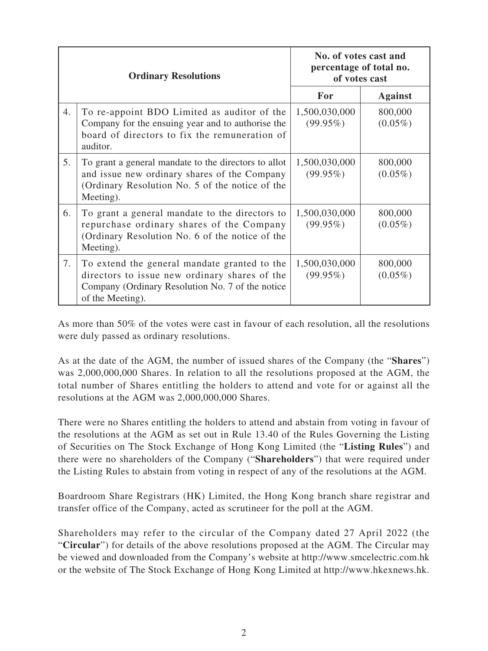|    | <b>Ordinary Resolutions</b>                                                                                                                                           | No. of votes cast and<br>percentage of total no.<br>of votes cast |                       |
|----|-----------------------------------------------------------------------------------------------------------------------------------------------------------------------|-------------------------------------------------------------------|-----------------------|
|    |                                                                                                                                                                       | For                                                               | <b>Against</b>        |
| 4. | To re-appoint BDO Limited as auditor of the<br>Company for the ensuing year and to authorise the<br>board of directors to fix the remuneration of<br>auditor.         | 1,500,030,000<br>$(99.95\%)$                                      | 800,000<br>$(0.05\%)$ |
| 5. | To grant a general mandate to the directors to allot<br>and issue new ordinary shares of the Company<br>(Ordinary Resolution No. 5 of the notice of the<br>Meeting).  | 1,500,030,000<br>$(99.95\%)$                                      | 800,000<br>$(0.05\%)$ |
| 6. | To grant a general mandate to the directors to<br>repurchase ordinary shares of the Company<br>(Ordinary Resolution No. 6 of the notice of the<br>Meeting).           | 1,500,030,000<br>$(99.95\%)$                                      | 800,000<br>$(0.05\%)$ |
| 7. | To extend the general mandate granted to the<br>directors to issue new ordinary shares of the<br>Company (Ordinary Resolution No. 7 of the notice<br>of the Meeting). | 1,500,030,000<br>$(99.95\%)$                                      | 800,000<br>$(0.05\%)$ |

As more than 50% of the votes were cast in favour of each resolution, all the resolutions were duly passed as ordinary resolutions.

As at the date of the AGM, the number of issued shares of the Company (the "**Shares**") was 2,000,000,000 Shares. In relation to all the resolutions proposed at the AGM, the total number of Shares entitling the holders to attend and vote for or against all the resolutions at the AGM was 2,000,000,000 Shares.

There were no Shares entitling the holders to attend and abstain from voting in favour of the resolutions at the AGM as set out in Rule 13.40 of the Rules Governing the Listing of Securities on The Stock Exchange of Hong Kong Limited (the "**Listing Rules**") and there were no shareholders of the Company ("**Shareholders**") that were required under the Listing Rules to abstain from voting in respect of any of the resolutions at the AGM.

Boardroom Share Registrars (HK) Limited, the Hong Kong branch share registrar and transfer office of the Company, acted as scrutineer for the poll at the AGM.

Shareholders may refer to the circular of the Company dated 27 April 2022 (the "**Circular**") for details of the above resolutions proposed at the AGM. The Circular may be viewed and downloaded from the Company's website at http://www.smcelectric.com.hk or the website of The Stock Exchange of Hong Kong Limited at http://www.hkexnews.hk.